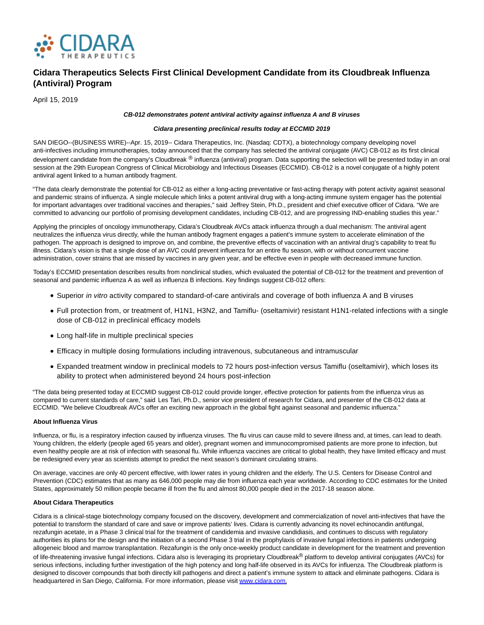

# **Cidara Therapeutics Selects First Clinical Development Candidate from its Cloudbreak Influenza (Antiviral) Program**

April 15, 2019

# **CB-012 demonstrates potent antiviral activity against influenza A and B viruses**

### **Cidara presenting preclinical results today at ECCMID 2019**

SAN DIEGO--(BUSINESS WIRE)--Apr. 15, 2019-- Cidara Therapeutics, Inc. (Nasdaq: CDTX), a biotechnology company developing novel anti-infectives including immunotherapies, today announced that the company has selected the antiviral conjugate (AVC) CB-012 as its first clinical development candidate from the company's Cloudbreak ® influenza (antiviral) program. Data supporting the selection will be presented today in an oral session at the 29th European Congress of Clinical Microbiology and Infectious Diseases (ECCMID). CB-012 is a novel conjugate of a highly potent antiviral agent linked to a human antibody fragment.

"The data clearly demonstrate the potential for CB-012 as either a long-acting preventative or fast-acting therapy with potent activity against seasonal and pandemic strains of influenza. A single molecule which links a potent antiviral drug with a long-acting immune system engager has the potential for important advantages over traditional vaccines and therapies," said Jeffrey Stein, Ph.D., president and chief executive officer of Cidara. "We are committed to advancing our portfolio of promising development candidates, including CB-012, and are progressing IND-enabling studies this year."

Applying the principles of oncology immunotherapy, Cidara's Cloudbreak AVCs attack influenza through a dual mechanism: The antiviral agent neutralizes the influenza virus directly, while the human antibody fragment engages a patient's immune system to accelerate elimination of the pathogen. The approach is designed to improve on, and combine, the preventive effects of vaccination with an antiviral drug's capability to treat flu illness. Cidara's vision is that a single dose of an AVC could prevent influenza for an entire flu season, with or without concurrent vaccine administration, cover strains that are missed by vaccines in any given year, and be effective even in people with decreased immune function.

Today's ECCMID presentation describes results from nonclinical studies, which evaluated the potential of CB-012 for the treatment and prevention of seasonal and pandemic influenza A as well as influenza B infections. Key findings suggest CB-012 offers:

- Superior in vitro activity compared to standard-of-care antivirals and coverage of both influenza A and B viruses
- Full protection from, or treatment of, H1N1, H3N2, and Tamiflu- (oseltamivir) resistant H1N1-related infections with a single dose of CB-012 in preclinical efficacy models
- Long half-life in multiple preclinical species
- Efficacy in multiple dosing formulations including intravenous, subcutaneous and intramuscular
- Expanded treatment window in preclinical models to 72 hours post-infection versus Tamiflu (oseltamivir), which loses its ability to protect when administered beyond 24 hours post-infection

"The data being presented today at ECCMID suggest CB-012 could provide longer, effective protection for patients from the influenza virus as compared to current standards of care," said Les Tari, Ph.D., senior vice president of research for Cidara, and presenter of the CB-012 data at ECCMID. "We believe Cloudbreak AVCs offer an exciting new approach in the global fight against seasonal and pandemic influenza."

#### **About Influenza Virus**

Influenza, or flu, is a respiratory infection caused by influenza viruses. The flu virus can cause mild to severe illness and, at times, can lead to death. Young children, the elderly (people aged 65 years and older), pregnant women and immunocompromised patients are more prone to infection, but even healthy people are at risk of infection with seasonal flu. While influenza vaccines are critical to global health, they have limited efficacy and must be redesigned every year as scientists attempt to predict the next season's dominant circulating strains.

On average, vaccines are only 40 percent effective, with lower rates in young children and the elderly. The U.S. Centers for Disease Control and Prevention (CDC) estimates that as many as 646,000 people may die from influenza each year worldwide. According to CDC estimates for the United States, approximately 50 million people became ill from the flu and almost 80,000 people died in the 2017-18 season alone.

# **About Cidara Therapeutics**

Cidara is a clinical-stage biotechnology company focused on the discovery, development and commercialization of novel anti-infectives that have the potential to transform the standard of care and save or improve patients' lives. Cidara is currently advancing its novel echinocandin antifungal, rezafungin acetate, in a Phase 3 clinical trial for the treatment of candidemia and invasive candidiasis, and continues to discuss with regulatory authorities its plans for the design and the initiation of a second Phase 3 trial in the prophylaxis of invasive fungal infections in patients undergoing allogeneic blood and marrow transplantation. Rezafungin is the only once-weekly product candidate in development for the treatment and prevention of life-threatening invasive fungal infections. Cidara also is leveraging its proprietary Cloudbreak® platform to develop antiviral conjugates (AVCs) for serious infections, including further investigation of the high potency and long half-life observed in its AVCs for influenza. The Cloudbreak platform is designed to discover compounds that both directly kill pathogens and direct a patient's immune system to attack and eliminate pathogens. Cidara is headquartered in San Diego, California. For more information, please visi[t www.cidara.com.](https://cts.businesswire.com/ct/CT?id=smartlink&url=http%3A%2F%2Fwww.cidara.com&esheet=51969261&newsitemid=20190415005190&lan=en-US&anchor=www.cidara.com&index=1&md5=5053286449b7c936d48f40337059a53e)